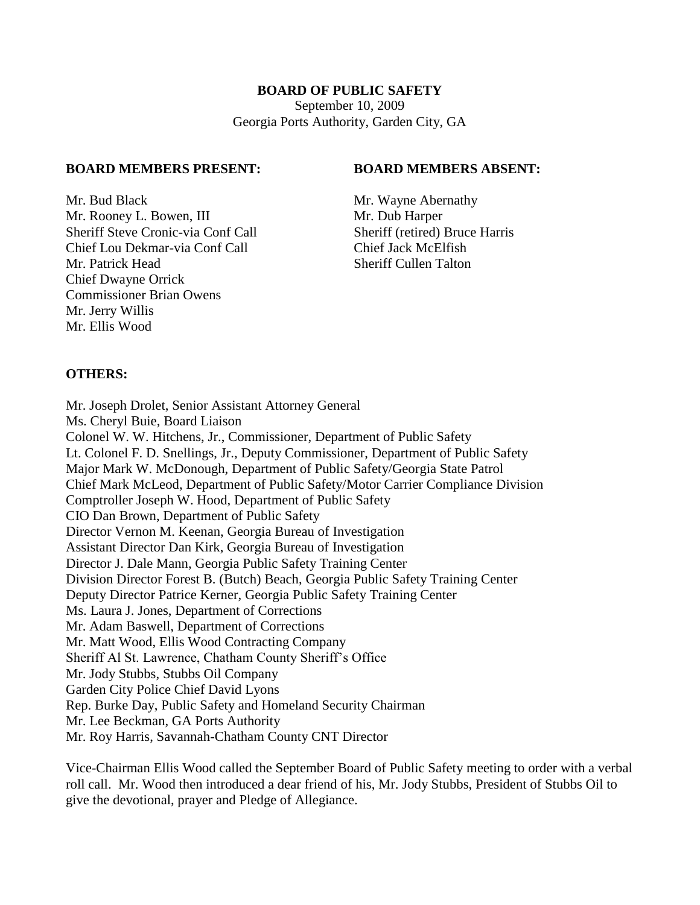### **BOARD OF PUBLIC SAFETY**

September 10, 2009 Georgia Ports Authority, Garden City, GA

#### **BOARD MEMBERS PRESENT: BOARD MEMBERS ABSENT:**

Mr. Bud Black Mr. Wayne Abernathy Mr. Rooney L. Bowen, III Mr. Dub Harper Sheriff Steve Cronic-via Conf Call Sheriff (retired) Bruce Harris Chief Lou Dekmar-via Conf Call Chief Jack McElfish Mr. Patrick Head Sheriff Cullen Talton Chief Dwayne Orrick Commissioner Brian Owens Mr. Jerry Willis Mr. Ellis Wood

#### **OTHERS:**

Mr. Joseph Drolet, Senior Assistant Attorney General Ms. Cheryl Buie, Board Liaison Colonel W. W. Hitchens, Jr., Commissioner, Department of Public Safety Lt. Colonel F. D. Snellings, Jr., Deputy Commissioner, Department of Public Safety Major Mark W. McDonough, Department of Public Safety/Georgia State Patrol Chief Mark McLeod, Department of Public Safety/Motor Carrier Compliance Division Comptroller Joseph W. Hood, Department of Public Safety CIO Dan Brown, Department of Public Safety Director Vernon M. Keenan, Georgia Bureau of Investigation Assistant Director Dan Kirk, Georgia Bureau of Investigation Director J. Dale Mann, Georgia Public Safety Training Center Division Director Forest B. (Butch) Beach, Georgia Public Safety Training Center Deputy Director Patrice Kerner, Georgia Public Safety Training Center Ms. Laura J. Jones, Department of Corrections Mr. Adam Baswell, Department of Corrections Mr. Matt Wood, Ellis Wood Contracting Company Sheriff Al St. Lawrence, Chatham County Sheriff's Office Mr. Jody Stubbs, Stubbs Oil Company Garden City Police Chief David Lyons Rep. Burke Day, Public Safety and Homeland Security Chairman Mr. Lee Beckman, GA Ports Authority Mr. Roy Harris, Savannah-Chatham County CNT Director

Vice-Chairman Ellis Wood called the September Board of Public Safety meeting to order with a verbal roll call. Mr. Wood then introduced a dear friend of his, Mr. Jody Stubbs, President of Stubbs Oil to give the devotional, prayer and Pledge of Allegiance.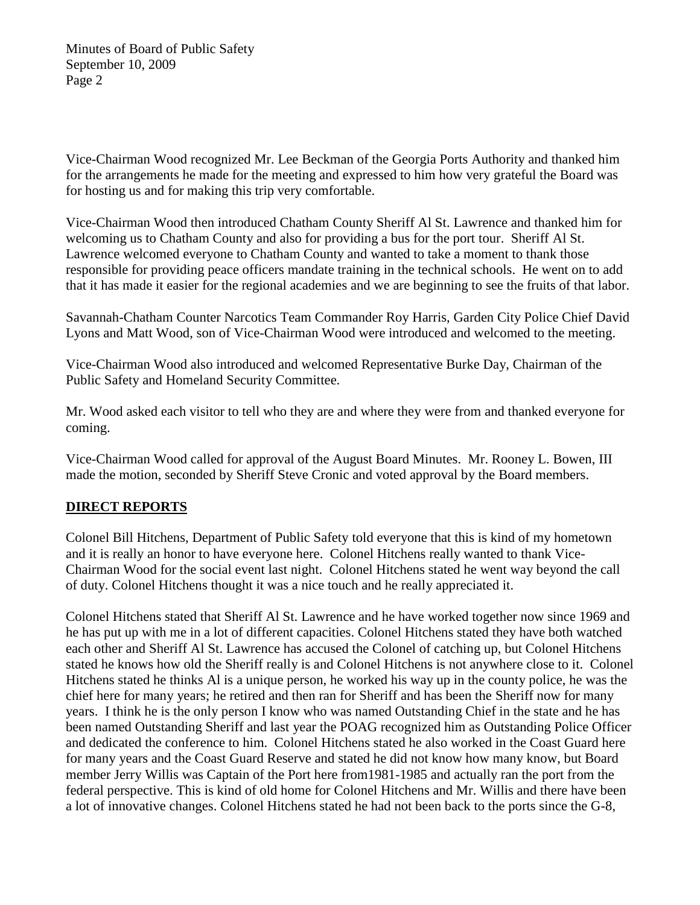Vice-Chairman Wood recognized Mr. Lee Beckman of the Georgia Ports Authority and thanked him for the arrangements he made for the meeting and expressed to him how very grateful the Board was for hosting us and for making this trip very comfortable.

Vice-Chairman Wood then introduced Chatham County Sheriff Al St. Lawrence and thanked him for welcoming us to Chatham County and also for providing a bus for the port tour. Sheriff Al St. Lawrence welcomed everyone to Chatham County and wanted to take a moment to thank those responsible for providing peace officers mandate training in the technical schools. He went on to add that it has made it easier for the regional academies and we are beginning to see the fruits of that labor.

Savannah-Chatham Counter Narcotics Team Commander Roy Harris, Garden City Police Chief David Lyons and Matt Wood, son of Vice-Chairman Wood were introduced and welcomed to the meeting.

Vice-Chairman Wood also introduced and welcomed Representative Burke Day, Chairman of the Public Safety and Homeland Security Committee.

Mr. Wood asked each visitor to tell who they are and where they were from and thanked everyone for coming.

Vice-Chairman Wood called for approval of the August Board Minutes. Mr. Rooney L. Bowen, III made the motion, seconded by Sheriff Steve Cronic and voted approval by the Board members.

# **DIRECT REPORTS**

Colonel Bill Hitchens, Department of Public Safety told everyone that this is kind of my hometown and it is really an honor to have everyone here. Colonel Hitchens really wanted to thank Vice-Chairman Wood for the social event last night. Colonel Hitchens stated he went way beyond the call of duty. Colonel Hitchens thought it was a nice touch and he really appreciated it.

Colonel Hitchens stated that Sheriff Al St. Lawrence and he have worked together now since 1969 and he has put up with me in a lot of different capacities. Colonel Hitchens stated they have both watched each other and Sheriff Al St. Lawrence has accused the Colonel of catching up, but Colonel Hitchens stated he knows how old the Sheriff really is and Colonel Hitchens is not anywhere close to it. Colonel Hitchens stated he thinks Al is a unique person, he worked his way up in the county police, he was the chief here for many years; he retired and then ran for Sheriff and has been the Sheriff now for many years. I think he is the only person I know who was named Outstanding Chief in the state and he has been named Outstanding Sheriff and last year the POAG recognized him as Outstanding Police Officer and dedicated the conference to him. Colonel Hitchens stated he also worked in the Coast Guard here for many years and the Coast Guard Reserve and stated he did not know how many know, but Board member Jerry Willis was Captain of the Port here from1981-1985 and actually ran the port from the federal perspective. This is kind of old home for Colonel Hitchens and Mr. Willis and there have been a lot of innovative changes. Colonel Hitchens stated he had not been back to the ports since the G-8,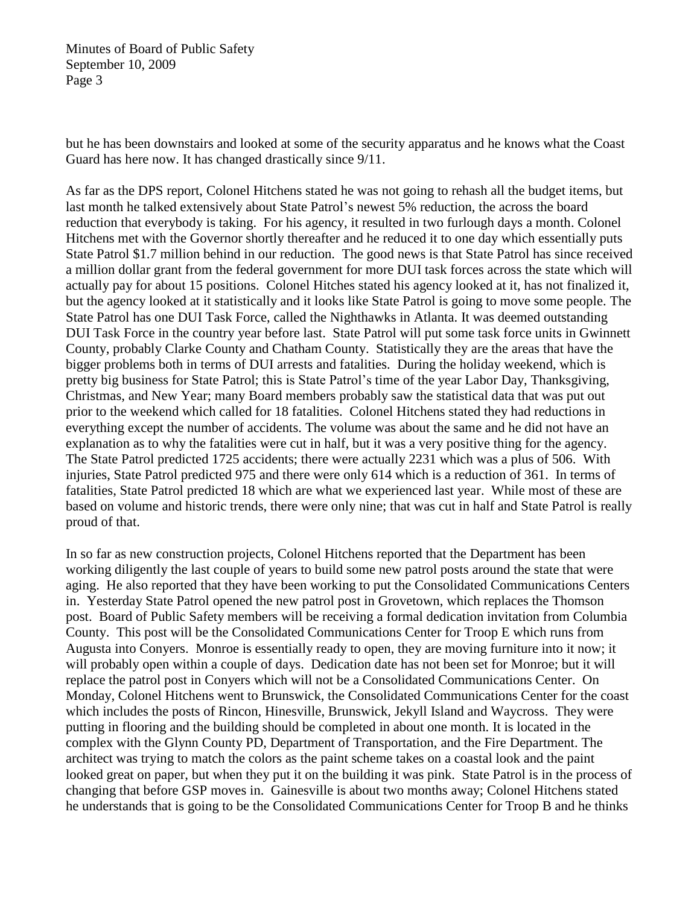but he has been downstairs and looked at some of the security apparatus and he knows what the Coast Guard has here now. It has changed drastically since 9/11.

As far as the DPS report, Colonel Hitchens stated he was not going to rehash all the budget items, but last month he talked extensively about State Patrol's newest 5% reduction, the across the board reduction that everybody is taking. For his agency, it resulted in two furlough days a month. Colonel Hitchens met with the Governor shortly thereafter and he reduced it to one day which essentially puts State Patrol \$1.7 million behind in our reduction. The good news is that State Patrol has since received a million dollar grant from the federal government for more DUI task forces across the state which will actually pay for about 15 positions. Colonel Hitches stated his agency looked at it, has not finalized it, but the agency looked at it statistically and it looks like State Patrol is going to move some people. The State Patrol has one DUI Task Force, called the Nighthawks in Atlanta. It was deemed outstanding DUI Task Force in the country year before last. State Patrol will put some task force units in Gwinnett County, probably Clarke County and Chatham County. Statistically they are the areas that have the bigger problems both in terms of DUI arrests and fatalities. During the holiday weekend, which is pretty big business for State Patrol; this is State Patrol's time of the year Labor Day, Thanksgiving, Christmas, and New Year; many Board members probably saw the statistical data that was put out prior to the weekend which called for 18 fatalities. Colonel Hitchens stated they had reductions in everything except the number of accidents. The volume was about the same and he did not have an explanation as to why the fatalities were cut in half, but it was a very positive thing for the agency. The State Patrol predicted 1725 accidents; there were actually 2231 which was a plus of 506. With injuries, State Patrol predicted 975 and there were only 614 which is a reduction of 361. In terms of fatalities, State Patrol predicted 18 which are what we experienced last year. While most of these are based on volume and historic trends, there were only nine; that was cut in half and State Patrol is really proud of that.

In so far as new construction projects, Colonel Hitchens reported that the Department has been working diligently the last couple of years to build some new patrol posts around the state that were aging. He also reported that they have been working to put the Consolidated Communications Centers in. Yesterday State Patrol opened the new patrol post in Grovetown, which replaces the Thomson post. Board of Public Safety members will be receiving a formal dedication invitation from Columbia County. This post will be the Consolidated Communications Center for Troop E which runs from Augusta into Conyers. Monroe is essentially ready to open, they are moving furniture into it now; it will probably open within a couple of days. Dedication date has not been set for Monroe; but it will replace the patrol post in Conyers which will not be a Consolidated Communications Center. On Monday, Colonel Hitchens went to Brunswick, the Consolidated Communications Center for the coast which includes the posts of Rincon, Hinesville, Brunswick, Jekyll Island and Waycross. They were putting in flooring and the building should be completed in about one month. It is located in the complex with the Glynn County PD, Department of Transportation, and the Fire Department. The architect was trying to match the colors as the paint scheme takes on a coastal look and the paint looked great on paper, but when they put it on the building it was pink. State Patrol is in the process of changing that before GSP moves in. Gainesville is about two months away; Colonel Hitchens stated he understands that is going to be the Consolidated Communications Center for Troop B and he thinks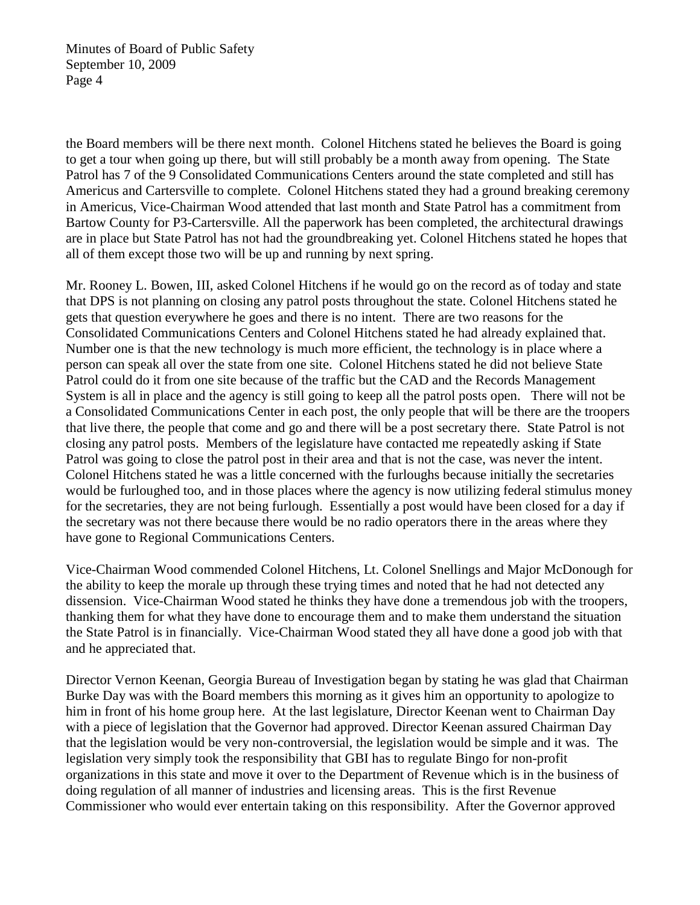the Board members will be there next month. Colonel Hitchens stated he believes the Board is going to get a tour when going up there, but will still probably be a month away from opening. The State Patrol has 7 of the 9 Consolidated Communications Centers around the state completed and still has Americus and Cartersville to complete. Colonel Hitchens stated they had a ground breaking ceremony in Americus, Vice-Chairman Wood attended that last month and State Patrol has a commitment from Bartow County for P3-Cartersville. All the paperwork has been completed, the architectural drawings are in place but State Patrol has not had the groundbreaking yet. Colonel Hitchens stated he hopes that all of them except those two will be up and running by next spring.

Mr. Rooney L. Bowen, III, asked Colonel Hitchens if he would go on the record as of today and state that DPS is not planning on closing any patrol posts throughout the state. Colonel Hitchens stated he gets that question everywhere he goes and there is no intent. There are two reasons for the Consolidated Communications Centers and Colonel Hitchens stated he had already explained that. Number one is that the new technology is much more efficient, the technology is in place where a person can speak all over the state from one site. Colonel Hitchens stated he did not believe State Patrol could do it from one site because of the traffic but the CAD and the Records Management System is all in place and the agency is still going to keep all the patrol posts open. There will not be a Consolidated Communications Center in each post, the only people that will be there are the troopers that live there, the people that come and go and there will be a post secretary there. State Patrol is not closing any patrol posts. Members of the legislature have contacted me repeatedly asking if State Patrol was going to close the patrol post in their area and that is not the case, was never the intent. Colonel Hitchens stated he was a little concerned with the furloughs because initially the secretaries would be furloughed too, and in those places where the agency is now utilizing federal stimulus money for the secretaries, they are not being furlough. Essentially a post would have been closed for a day if the secretary was not there because there would be no radio operators there in the areas where they have gone to Regional Communications Centers.

Vice-Chairman Wood commended Colonel Hitchens, Lt. Colonel Snellings and Major McDonough for the ability to keep the morale up through these trying times and noted that he had not detected any dissension. Vice-Chairman Wood stated he thinks they have done a tremendous job with the troopers, thanking them for what they have done to encourage them and to make them understand the situation the State Patrol is in financially. Vice-Chairman Wood stated they all have done a good job with that and he appreciated that.

Director Vernon Keenan, Georgia Bureau of Investigation began by stating he was glad that Chairman Burke Day was with the Board members this morning as it gives him an opportunity to apologize to him in front of his home group here. At the last legislature, Director Keenan went to Chairman Day with a piece of legislation that the Governor had approved. Director Keenan assured Chairman Day that the legislation would be very non-controversial, the legislation would be simple and it was. The legislation very simply took the responsibility that GBI has to regulate Bingo for non-profit organizations in this state and move it over to the Department of Revenue which is in the business of doing regulation of all manner of industries and licensing areas. This is the first Revenue Commissioner who would ever entertain taking on this responsibility. After the Governor approved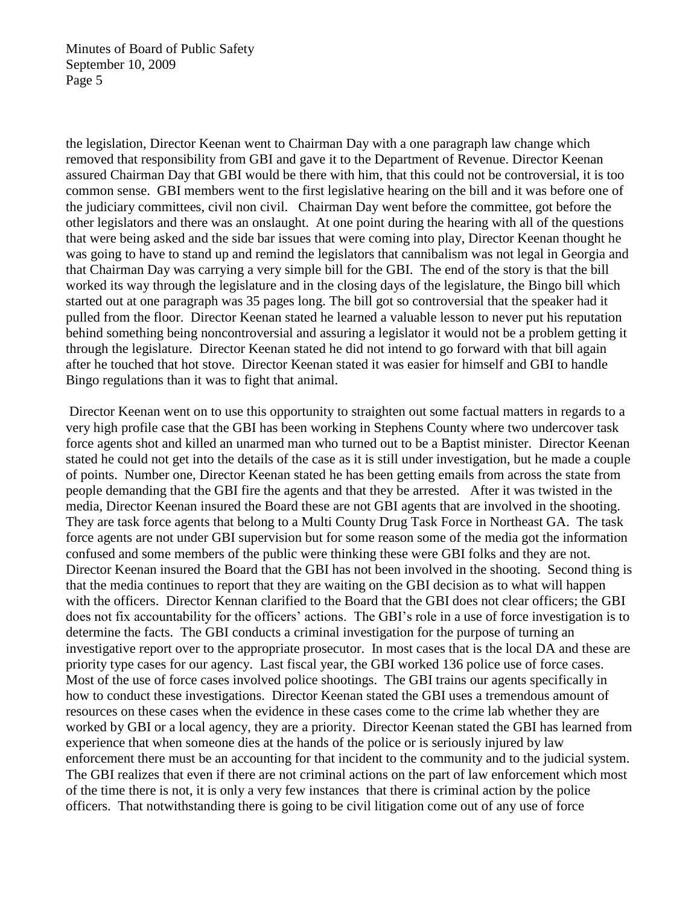the legislation, Director Keenan went to Chairman Day with a one paragraph law change which removed that responsibility from GBI and gave it to the Department of Revenue. Director Keenan assured Chairman Day that GBI would be there with him, that this could not be controversial, it is too common sense. GBI members went to the first legislative hearing on the bill and it was before one of the judiciary committees, civil non civil. Chairman Day went before the committee, got before the other legislators and there was an onslaught. At one point during the hearing with all of the questions that were being asked and the side bar issues that were coming into play, Director Keenan thought he was going to have to stand up and remind the legislators that cannibalism was not legal in Georgia and that Chairman Day was carrying a very simple bill for the GBI. The end of the story is that the bill worked its way through the legislature and in the closing days of the legislature, the Bingo bill which started out at one paragraph was 35 pages long. The bill got so controversial that the speaker had it pulled from the floor. Director Keenan stated he learned a valuable lesson to never put his reputation behind something being noncontroversial and assuring a legislator it would not be a problem getting it through the legislature. Director Keenan stated he did not intend to go forward with that bill again after he touched that hot stove. Director Keenan stated it was easier for himself and GBI to handle Bingo regulations than it was to fight that animal.

Director Keenan went on to use this opportunity to straighten out some factual matters in regards to a very high profile case that the GBI has been working in Stephens County where two undercover task force agents shot and killed an unarmed man who turned out to be a Baptist minister. Director Keenan stated he could not get into the details of the case as it is still under investigation, but he made a couple of points. Number one, Director Keenan stated he has been getting emails from across the state from people demanding that the GBI fire the agents and that they be arrested. After it was twisted in the media, Director Keenan insured the Board these are not GBI agents that are involved in the shooting. They are task force agents that belong to a Multi County Drug Task Force in Northeast GA. The task force agents are not under GBI supervision but for some reason some of the media got the information confused and some members of the public were thinking these were GBI folks and they are not. Director Keenan insured the Board that the GBI has not been involved in the shooting. Second thing is that the media continues to report that they are waiting on the GBI decision as to what will happen with the officers. Director Kennan clarified to the Board that the GBI does not clear officers; the GBI does not fix accountability for the officers' actions. The GBI's role in a use of force investigation is to determine the facts. The GBI conducts a criminal investigation for the purpose of turning an investigative report over to the appropriate prosecutor. In most cases that is the local DA and these are priority type cases for our agency. Last fiscal year, the GBI worked 136 police use of force cases. Most of the use of force cases involved police shootings. The GBI trains our agents specifically in how to conduct these investigations. Director Keenan stated the GBI uses a tremendous amount of resources on these cases when the evidence in these cases come to the crime lab whether they are worked by GBI or a local agency, they are a priority. Director Keenan stated the GBI has learned from experience that when someone dies at the hands of the police or is seriously injured by law enforcement there must be an accounting for that incident to the community and to the judicial system. The GBI realizes that even if there are not criminal actions on the part of law enforcement which most of the time there is not, it is only a very few instances that there is criminal action by the police officers. That notwithstanding there is going to be civil litigation come out of any use of force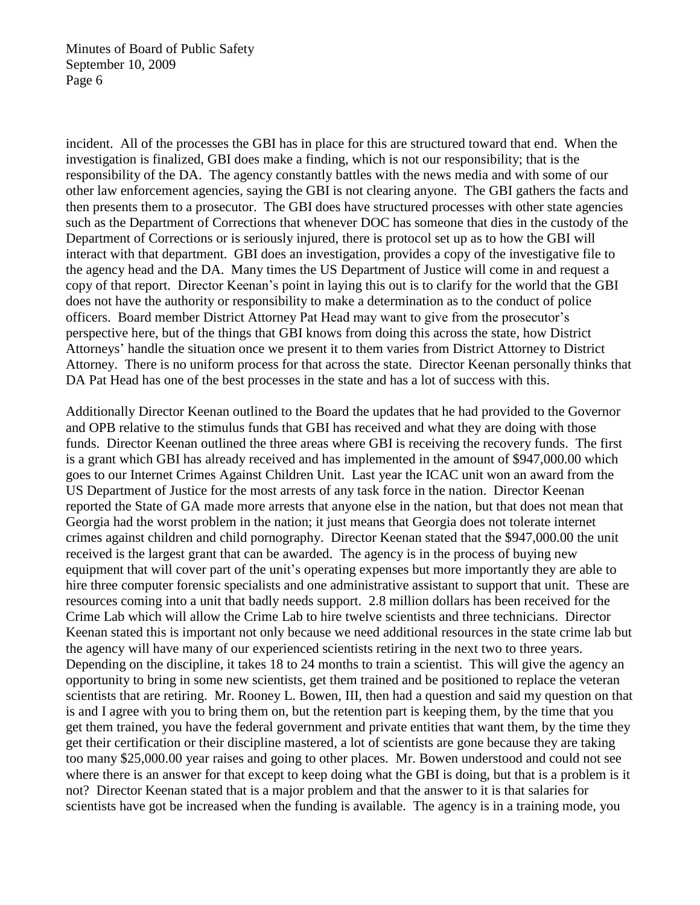incident. All of the processes the GBI has in place for this are structured toward that end. When the investigation is finalized, GBI does make a finding, which is not our responsibility; that is the responsibility of the DA. The agency constantly battles with the news media and with some of our other law enforcement agencies, saying the GBI is not clearing anyone. The GBI gathers the facts and then presents them to a prosecutor. The GBI does have structured processes with other state agencies such as the Department of Corrections that whenever DOC has someone that dies in the custody of the Department of Corrections or is seriously injured, there is protocol set up as to how the GBI will interact with that department. GBI does an investigation, provides a copy of the investigative file to the agency head and the DA. Many times the US Department of Justice will come in and request a copy of that report. Director Keenan's point in laying this out is to clarify for the world that the GBI does not have the authority or responsibility to make a determination as to the conduct of police officers. Board member District Attorney Pat Head may want to give from the prosecutor's perspective here, but of the things that GBI knows from doing this across the state, how District Attorneys' handle the situation once we present it to them varies from District Attorney to District Attorney. There is no uniform process for that across the state. Director Keenan personally thinks that DA Pat Head has one of the best processes in the state and has a lot of success with this.

Additionally Director Keenan outlined to the Board the updates that he had provided to the Governor and OPB relative to the stimulus funds that GBI has received and what they are doing with those funds. Director Keenan outlined the three areas where GBI is receiving the recovery funds. The first is a grant which GBI has already received and has implemented in the amount of \$947,000.00 which goes to our Internet Crimes Against Children Unit. Last year the ICAC unit won an award from the US Department of Justice for the most arrests of any task force in the nation. Director Keenan reported the State of GA made more arrests that anyone else in the nation, but that does not mean that Georgia had the worst problem in the nation; it just means that Georgia does not tolerate internet crimes against children and child pornography. Director Keenan stated that the \$947,000.00 the unit received is the largest grant that can be awarded. The agency is in the process of buying new equipment that will cover part of the unit's operating expenses but more importantly they are able to hire three computer forensic specialists and one administrative assistant to support that unit. These are resources coming into a unit that badly needs support. 2.8 million dollars has been received for the Crime Lab which will allow the Crime Lab to hire twelve scientists and three technicians. Director Keenan stated this is important not only because we need additional resources in the state crime lab but the agency will have many of our experienced scientists retiring in the next two to three years. Depending on the discipline, it takes 18 to 24 months to train a scientist. This will give the agency an opportunity to bring in some new scientists, get them trained and be positioned to replace the veteran scientists that are retiring. Mr. Rooney L. Bowen, III, then had a question and said my question on that is and I agree with you to bring them on, but the retention part is keeping them, by the time that you get them trained, you have the federal government and private entities that want them, by the time they get their certification or their discipline mastered, a lot of scientists are gone because they are taking too many \$25,000.00 year raises and going to other places. Mr. Bowen understood and could not see where there is an answer for that except to keep doing what the GBI is doing, but that is a problem is it not? Director Keenan stated that is a major problem and that the answer to it is that salaries for scientists have got be increased when the funding is available. The agency is in a training mode, you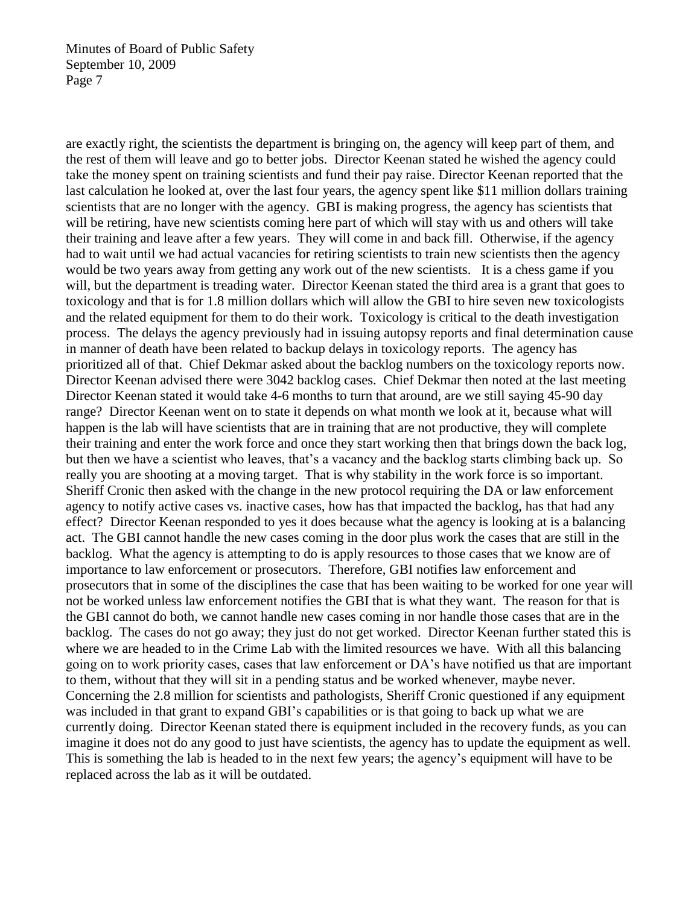are exactly right, the scientists the department is bringing on, the agency will keep part of them, and the rest of them will leave and go to better jobs. Director Keenan stated he wished the agency could take the money spent on training scientists and fund their pay raise. Director Keenan reported that the last calculation he looked at, over the last four years, the agency spent like \$11 million dollars training scientists that are no longer with the agency. GBI is making progress, the agency has scientists that will be retiring, have new scientists coming here part of which will stay with us and others will take their training and leave after a few years. They will come in and back fill. Otherwise, if the agency had to wait until we had actual vacancies for retiring scientists to train new scientists then the agency would be two years away from getting any work out of the new scientists. It is a chess game if you will, but the department is treading water. Director Keenan stated the third area is a grant that goes to toxicology and that is for 1.8 million dollars which will allow the GBI to hire seven new toxicologists and the related equipment for them to do their work. Toxicology is critical to the death investigation process. The delays the agency previously had in issuing autopsy reports and final determination cause in manner of death have been related to backup delays in toxicology reports. The agency has prioritized all of that. Chief Dekmar asked about the backlog numbers on the toxicology reports now. Director Keenan advised there were 3042 backlog cases. Chief Dekmar then noted at the last meeting Director Keenan stated it would take 4-6 months to turn that around, are we still saying 45-90 day range? Director Keenan went on to state it depends on what month we look at it, because what will happen is the lab will have scientists that are in training that are not productive, they will complete their training and enter the work force and once they start working then that brings down the back log, but then we have a scientist who leaves, that's a vacancy and the backlog starts climbing back up. So really you are shooting at a moving target. That is why stability in the work force is so important. Sheriff Cronic then asked with the change in the new protocol requiring the DA or law enforcement agency to notify active cases vs. inactive cases, how has that impacted the backlog, has that had any effect? Director Keenan responded to yes it does because what the agency is looking at is a balancing act. The GBI cannot handle the new cases coming in the door plus work the cases that are still in the backlog. What the agency is attempting to do is apply resources to those cases that we know are of importance to law enforcement or prosecutors. Therefore, GBI notifies law enforcement and prosecutors that in some of the disciplines the case that has been waiting to be worked for one year will not be worked unless law enforcement notifies the GBI that is what they want. The reason for that is the GBI cannot do both, we cannot handle new cases coming in nor handle those cases that are in the backlog. The cases do not go away; they just do not get worked. Director Keenan further stated this is where we are headed to in the Crime Lab with the limited resources we have. With all this balancing going on to work priority cases, cases that law enforcement or DA's have notified us that are important to them, without that they will sit in a pending status and be worked whenever, maybe never. Concerning the 2.8 million for scientists and pathologists, Sheriff Cronic questioned if any equipment was included in that grant to expand GBI's capabilities or is that going to back up what we are currently doing. Director Keenan stated there is equipment included in the recovery funds, as you can imagine it does not do any good to just have scientists, the agency has to update the equipment as well. This is something the lab is headed to in the next few years; the agency's equipment will have to be replaced across the lab as it will be outdated.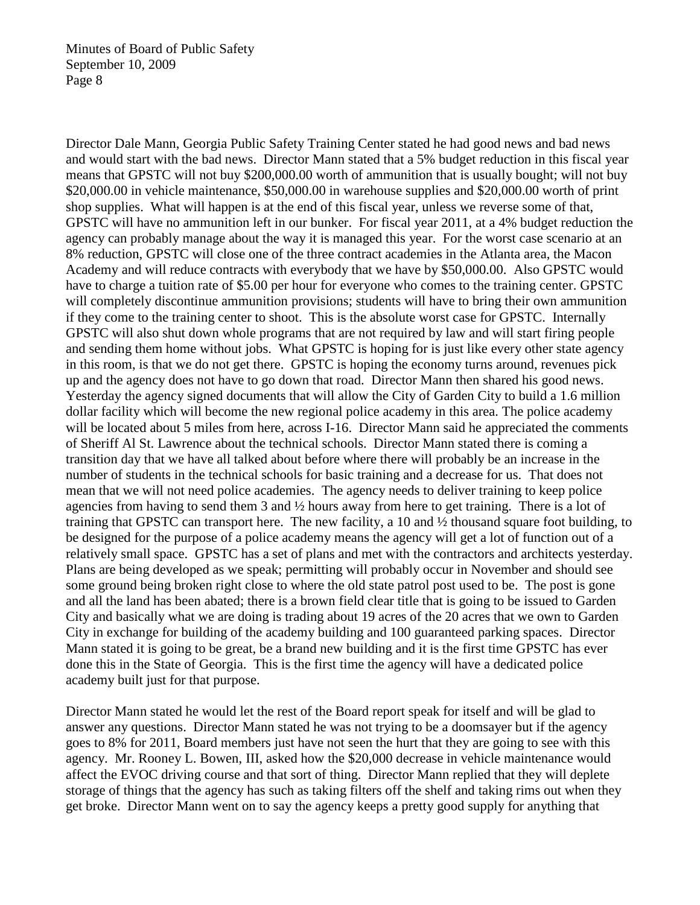Director Dale Mann, Georgia Public Safety Training Center stated he had good news and bad news and would start with the bad news. Director Mann stated that a 5% budget reduction in this fiscal year means that GPSTC will not buy \$200,000.00 worth of ammunition that is usually bought; will not buy \$20,000.00 in vehicle maintenance, \$50,000.00 in warehouse supplies and \$20,000.00 worth of print shop supplies. What will happen is at the end of this fiscal year, unless we reverse some of that, GPSTC will have no ammunition left in our bunker. For fiscal year 2011, at a 4% budget reduction the agency can probably manage about the way it is managed this year. For the worst case scenario at an 8% reduction, GPSTC will close one of the three contract academies in the Atlanta area, the Macon Academy and will reduce contracts with everybody that we have by \$50,000.00. Also GPSTC would have to charge a tuition rate of \$5.00 per hour for everyone who comes to the training center. GPSTC will completely discontinue ammunition provisions; students will have to bring their own ammunition if they come to the training center to shoot. This is the absolute worst case for GPSTC. Internally GPSTC will also shut down whole programs that are not required by law and will start firing people and sending them home without jobs. What GPSTC is hoping for is just like every other state agency in this room, is that we do not get there. GPSTC is hoping the economy turns around, revenues pick up and the agency does not have to go down that road. Director Mann then shared his good news. Yesterday the agency signed documents that will allow the City of Garden City to build a 1.6 million dollar facility which will become the new regional police academy in this area. The police academy will be located about 5 miles from here, across I-16. Director Mann said he appreciated the comments of Sheriff Al St. Lawrence about the technical schools. Director Mann stated there is coming a transition day that we have all talked about before where there will probably be an increase in the number of students in the technical schools for basic training and a decrease for us. That does not mean that we will not need police academies. The agency needs to deliver training to keep police agencies from having to send them 3 and ½ hours away from here to get training. There is a lot of training that GPSTC can transport here. The new facility, a 10 and ½ thousand square foot building, to be designed for the purpose of a police academy means the agency will get a lot of function out of a relatively small space. GPSTC has a set of plans and met with the contractors and architects yesterday. Plans are being developed as we speak; permitting will probably occur in November and should see some ground being broken right close to where the old state patrol post used to be. The post is gone and all the land has been abated; there is a brown field clear title that is going to be issued to Garden City and basically what we are doing is trading about 19 acres of the 20 acres that we own to Garden City in exchange for building of the academy building and 100 guaranteed parking spaces. Director Mann stated it is going to be great, be a brand new building and it is the first time GPSTC has ever done this in the State of Georgia. This is the first time the agency will have a dedicated police academy built just for that purpose.

Director Mann stated he would let the rest of the Board report speak for itself and will be glad to answer any questions. Director Mann stated he was not trying to be a doomsayer but if the agency goes to 8% for 2011, Board members just have not seen the hurt that they are going to see with this agency. Mr. Rooney L. Bowen, III, asked how the \$20,000 decrease in vehicle maintenance would affect the EVOC driving course and that sort of thing. Director Mann replied that they will deplete storage of things that the agency has such as taking filters off the shelf and taking rims out when they get broke. Director Mann went on to say the agency keeps a pretty good supply for anything that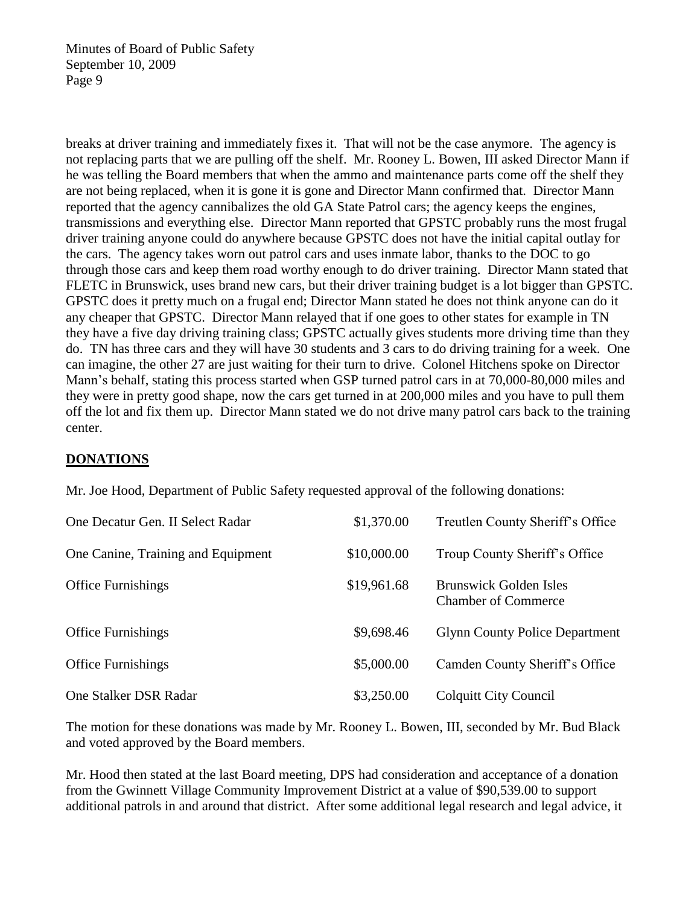breaks at driver training and immediately fixes it. That will not be the case anymore. The agency is not replacing parts that we are pulling off the shelf. Mr. Rooney L. Bowen, III asked Director Mann if he was telling the Board members that when the ammo and maintenance parts come off the shelf they are not being replaced, when it is gone it is gone and Director Mann confirmed that. Director Mann reported that the agency cannibalizes the old GA State Patrol cars; the agency keeps the engines, transmissions and everything else. Director Mann reported that GPSTC probably runs the most frugal driver training anyone could do anywhere because GPSTC does not have the initial capital outlay for the cars. The agency takes worn out patrol cars and uses inmate labor, thanks to the DOC to go through those cars and keep them road worthy enough to do driver training. Director Mann stated that FLETC in Brunswick, uses brand new cars, but their driver training budget is a lot bigger than GPSTC. GPSTC does it pretty much on a frugal end; Director Mann stated he does not think anyone can do it any cheaper that GPSTC. Director Mann relayed that if one goes to other states for example in TN they have a five day driving training class; GPSTC actually gives students more driving time than they do. TN has three cars and they will have 30 students and 3 cars to do driving training for a week. One can imagine, the other 27 are just waiting for their turn to drive. Colonel Hitchens spoke on Director Mann's behalf, stating this process started when GSP turned patrol cars in at 70,000-80,000 miles and they were in pretty good shape, now the cars get turned in at 200,000 miles and you have to pull them off the lot and fix them up. Director Mann stated we do not drive many patrol cars back to the training center.

## **DONATIONS**

Mr. Joe Hood, Department of Public Safety requested approval of the following donations:

| One Decatur Gen. II Select Radar   | \$1,370.00  | Treutlen County Sheriff's Office                     |
|------------------------------------|-------------|------------------------------------------------------|
| One Canine, Training and Equipment | \$10,000.00 | Troup County Sheriff's Office                        |
| <b>Office Furnishings</b>          | \$19,961.68 | Brunswick Golden Isles<br><b>Chamber of Commerce</b> |
| <b>Office Furnishings</b>          | \$9,698.46  | <b>Glynn County Police Department</b>                |
| <b>Office Furnishings</b>          | \$5,000.00  | Camden County Sheriff's Office                       |
| One Stalker DSR Radar              | \$3,250.00  | Colquitt City Council                                |

The motion for these donations was made by Mr. Rooney L. Bowen, III, seconded by Mr. Bud Black and voted approved by the Board members.

Mr. Hood then stated at the last Board meeting, DPS had consideration and acceptance of a donation from the Gwinnett Village Community Improvement District at a value of \$90,539.00 to support additional patrols in and around that district. After some additional legal research and legal advice, it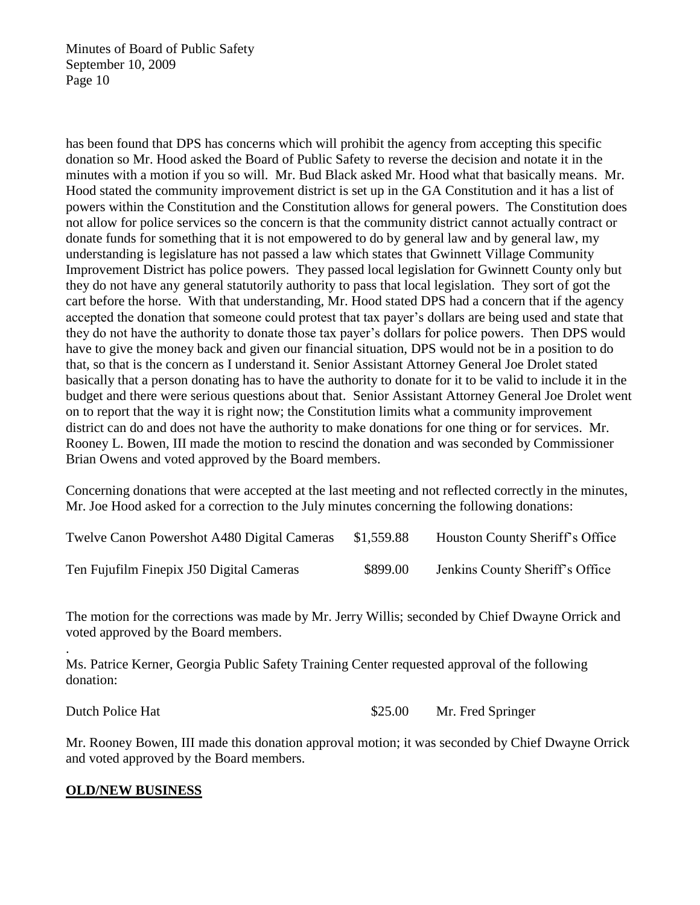has been found that DPS has concerns which will prohibit the agency from accepting this specific donation so Mr. Hood asked the Board of Public Safety to reverse the decision and notate it in the minutes with a motion if you so will. Mr. Bud Black asked Mr. Hood what that basically means. Mr. Hood stated the community improvement district is set up in the GA Constitution and it has a list of powers within the Constitution and the Constitution allows for general powers. The Constitution does not allow for police services so the concern is that the community district cannot actually contract or donate funds for something that it is not empowered to do by general law and by general law, my understanding is legislature has not passed a law which states that Gwinnett Village Community Improvement District has police powers. They passed local legislation for Gwinnett County only but they do not have any general statutorily authority to pass that local legislation. They sort of got the cart before the horse. With that understanding, Mr. Hood stated DPS had a concern that if the agency accepted the donation that someone could protest that tax payer's dollars are being used and state that they do not have the authority to donate those tax payer's dollars for police powers. Then DPS would have to give the money back and given our financial situation, DPS would not be in a position to do that, so that is the concern as I understand it. Senior Assistant Attorney General Joe Drolet stated basically that a person donating has to have the authority to donate for it to be valid to include it in the budget and there were serious questions about that. Senior Assistant Attorney General Joe Drolet went on to report that the way it is right now; the Constitution limits what a community improvement district can do and does not have the authority to make donations for one thing or for services. Mr. Rooney L. Bowen, III made the motion to rescind the donation and was seconded by Commissioner Brian Owens and voted approved by the Board members.

Concerning donations that were accepted at the last meeting and not reflected correctly in the minutes, Mr. Joe Hood asked for a correction to the July minutes concerning the following donations:

| Twelve Canon Powershot A480 Digital Cameras | \$1,559.88 | Houston County Sheriff's Office |
|---------------------------------------------|------------|---------------------------------|
| Ten Fujufilm Finepix J50 Digital Cameras    | \$899.00   | Jenkins County Sheriff's Office |

The motion for the corrections was made by Mr. Jerry Willis; seconded by Chief Dwayne Orrick and voted approved by the Board members.

Ms. Patrice Kerner, Georgia Public Safety Training Center requested approval of the following donation:

.

Dutch Police Hat  $$25.00$  Mr. Fred Springer

Mr. Rooney Bowen, III made this donation approval motion; it was seconded by Chief Dwayne Orrick and voted approved by the Board members.

## **OLD/NEW BUSINESS**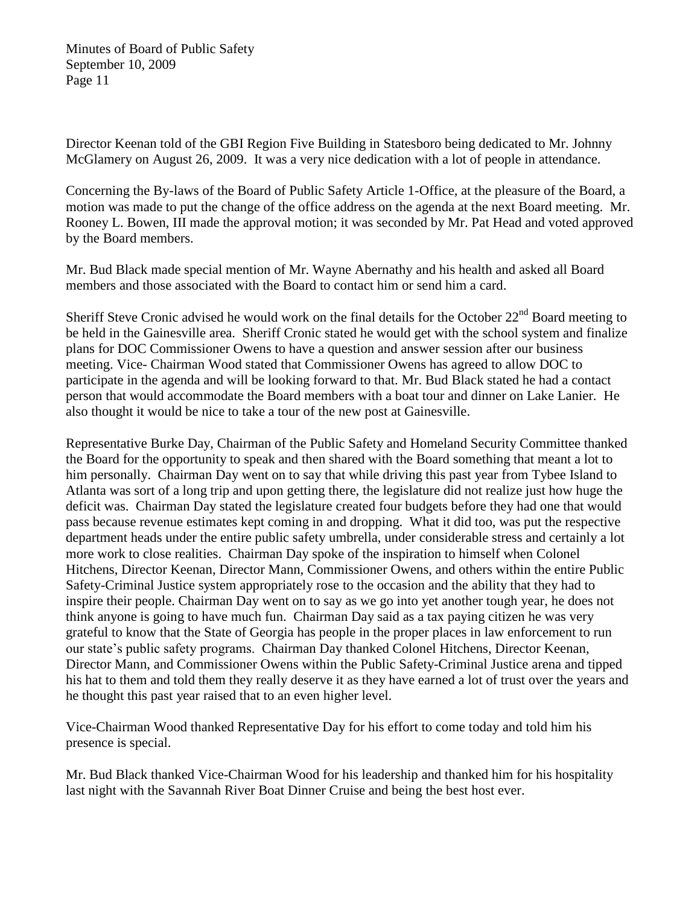Director Keenan told of the GBI Region Five Building in Statesboro being dedicated to Mr. Johnny McGlamery on August 26, 2009. It was a very nice dedication with a lot of people in attendance.

Concerning the By-laws of the Board of Public Safety Article 1-Office, at the pleasure of the Board, a motion was made to put the change of the office address on the agenda at the next Board meeting. Mr. Rooney L. Bowen, III made the approval motion; it was seconded by Mr. Pat Head and voted approved by the Board members.

Mr. Bud Black made special mention of Mr. Wayne Abernathy and his health and asked all Board members and those associated with the Board to contact him or send him a card.

Sheriff Steve Cronic advised he would work on the final details for the October  $22<sup>nd</sup>$  Board meeting to be held in the Gainesville area. Sheriff Cronic stated he would get with the school system and finalize plans for DOC Commissioner Owens to have a question and answer session after our business meeting. Vice- Chairman Wood stated that Commissioner Owens has agreed to allow DOC to participate in the agenda and will be looking forward to that. Mr. Bud Black stated he had a contact person that would accommodate the Board members with a boat tour and dinner on Lake Lanier. He also thought it would be nice to take a tour of the new post at Gainesville.

Representative Burke Day, Chairman of the Public Safety and Homeland Security Committee thanked the Board for the opportunity to speak and then shared with the Board something that meant a lot to him personally. Chairman Day went on to say that while driving this past year from Tybee Island to Atlanta was sort of a long trip and upon getting there, the legislature did not realize just how huge the deficit was. Chairman Day stated the legislature created four budgets before they had one that would pass because revenue estimates kept coming in and dropping. What it did too, was put the respective department heads under the entire public safety umbrella, under considerable stress and certainly a lot more work to close realities. Chairman Day spoke of the inspiration to himself when Colonel Hitchens, Director Keenan, Director Mann, Commissioner Owens, and others within the entire Public Safety-Criminal Justice system appropriately rose to the occasion and the ability that they had to inspire their people. Chairman Day went on to say as we go into yet another tough year, he does not think anyone is going to have much fun. Chairman Day said as a tax paying citizen he was very grateful to know that the State of Georgia has people in the proper places in law enforcement to run our state's public safety programs. Chairman Day thanked Colonel Hitchens, Director Keenan, Director Mann, and Commissioner Owens within the Public Safety-Criminal Justice arena and tipped his hat to them and told them they really deserve it as they have earned a lot of trust over the years and he thought this past year raised that to an even higher level.

Vice-Chairman Wood thanked Representative Day for his effort to come today and told him his presence is special.

Mr. Bud Black thanked Vice-Chairman Wood for his leadership and thanked him for his hospitality last night with the Savannah River Boat Dinner Cruise and being the best host ever.